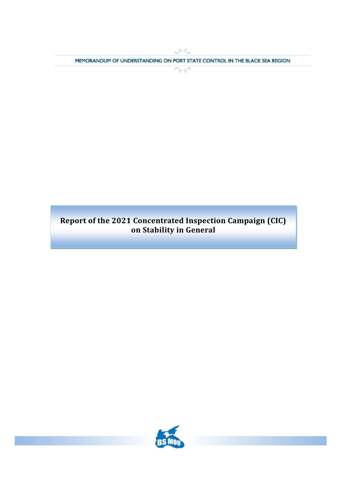M MEMORANDUM OF UNDERSTANDING ON PORT STATE CONTROL IN THE BLACK SEA REGION

 $\sim$ 

# **Report of the 2021 Concentrated Inspection Campaign (CIC) on Stability in General**

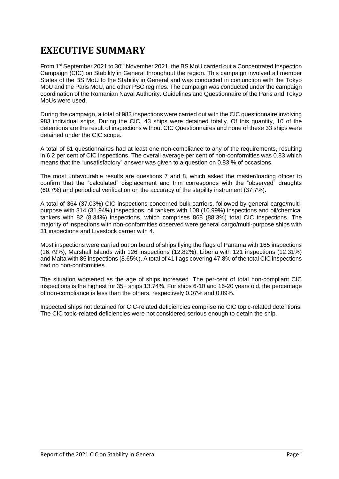# <span id="page-1-0"></span>**EXECUTIVE SUMMARY**

From 1<sup>st</sup> September 2021 to 30<sup>th</sup> November 2021, the BS MoU carried out a Concentrated Inspection Campaign (CIC) on Stability in General throughout the region. This campaign involved all member States of the BS MoU to the Stability in General and was conducted in conjunction with the Tokyo MoU and the Paris MoU, and other PSC regimes. The campaign was conducted under the campaign coordination of the Romanian Naval Authority. Guidelines and Questionnaire of the Paris and Tokyo MoUs were used.

During the campaign, a total of 983 inspections were carried out with the CIC questionnaire involving 983 individual ships. During the CIC, 43 ships were detained totally. Of this quantity, 10 of the detentions are the result of inspections without CIC Questionnaires and none of these 33 ships were detained under the CIC scope.

A total of 61 questionnaires had at least one non-compliance to any of the requirements, resulting in 6.2 per cent of CIC inspections. The overall average per cent of non-conformities was 0.83 which means that the "unsatisfactory" answer was given to a question on 0.83 % of occasions.

The most unfavourable results are questions 7 and 8, which asked the master/loading officer to confirm that the "calculated" displacement and trim corresponds with the "observed" draughts (60.7%) and periodical verification on the accuracy of the stability instrument (37.7%).

A total of 364 (37.03%) CIC inspections concerned bulk carriers, followed by general cargo/multipurpose with 314 (31.94%) inspections, oil tankers with 108 (10.99%) inspections and oil/chemical tankers with 82 (8.34%) inspections, which comprises 868 (88.3%) total CIC inspections. The majority of inspections with non-conformities observed were general cargo/multi-purpose ships with 31 inspections and Livestock carrier with 4.

Most inspections were carried out on board of ships flying the flags of Panama with 165 inspections (16.79%), Marshall Islands with 126 inspections (12.82%), Liberia with 121 inspections (12.31%) and Malta with 85 inspections (8.65%). A total of 41 flags covering 47.8% of the total CIC inspections had no non-conformities.

The situation worsened as the age of ships increased. The per-cent of total non-compliant CIC inspections is the highest for 35+ ships 13.74%. For ships 6-10 and 16-20 years old, the percentage of non-compliance is less than the others, respectively 0.07% and 0.09%.

Inspected ships not detained for CIC-related deficiencies comprise no CIC topic-related detentions. The CIC topic-related deficiencies were not considered serious enough to detain the ship.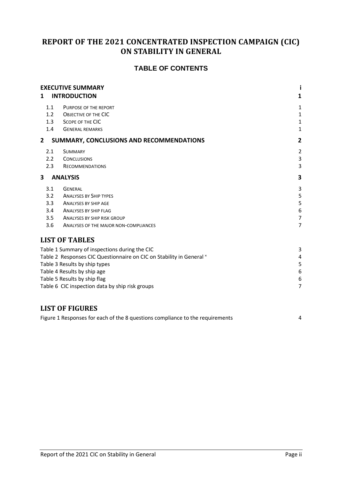# **REPORT OF THE 2021 CONCENTRATED INSPECTION CAMPAIGN (CIC) ON STABILITY IN GENERAL**

# **TABLE OF CONTENTS**

| 1   | <b>EXECUTIVE SUMMARY</b><br><b>INTRODUCTION</b>                      | 1              |
|-----|----------------------------------------------------------------------|----------------|
| 1.1 | PURPOSE OF THE REPORT                                                | 1              |
| 1.2 | OBJECTIVE OF THE CIC                                                 | 1              |
| 1.3 | SCOPE OF THE CIC                                                     | $\mathbf{1}$   |
| 1.4 | <b>GENERAL REMARKS</b>                                               | $\mathbf{1}$   |
| 2   | SUMMARY, CONCLUSIONS AND RECOMMENDATIONS                             | $\overline{2}$ |
| 2.1 | <b>SUMMARY</b>                                                       | $\overline{2}$ |
| 2.2 | <b>CONCLUSIONS</b>                                                   | 3              |
| 2.3 | <b>RECOMMENDATIONS</b>                                               | 3              |
| 3   | <b>ANALYSIS</b>                                                      | 3              |
| 3.1 | <b>GENERAL</b>                                                       | 3              |
| 3.2 | <b>ANALYSES BY SHIP TYPES</b>                                        | 5              |
| 3.3 | <b>ANALYSES BY SHIP AGE</b>                                          | 5              |
| 3.4 | <b>ANALYSES BY SHIP FLAG</b>                                         | 6              |
| 3.5 | <b>ANALYSES BY SHIP RISK GROUP</b>                                   | 7              |
| 3.6 | ANALYSES OF THE MAJOR NON-COMPLIANCES                                | 7              |
|     | <b>LIST OF TABLES</b>                                                |                |
|     | Table 1 Summary of inspections during the CIC                        | 3              |
|     | Table 2 Responses CIC Questionnaire on CIC on Stability in General × | 4              |
|     | Table 3 Results by ship types                                        | 5              |
|     | Table 4 Results by ship age                                          | 6              |
|     | Table 5 Results by ship flag                                         | 6              |
|     | Table 6 CIC inspection data by ship risk groups                      | 7              |
|     |                                                                      |                |

# **LIST OF FIGURES**

| Figure 1 Responses for each of the 8 questions compliance to the requirements |  |
|-------------------------------------------------------------------------------|--|
|-------------------------------------------------------------------------------|--|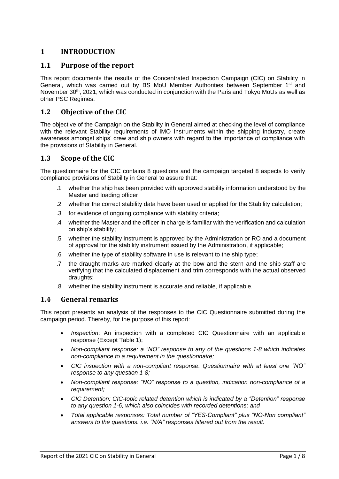# <span id="page-3-0"></span>**1 INTRODUCTION**

#### <span id="page-3-1"></span>**1.1 Purpose of the report**

This report documents the results of the Concentrated Inspection Campaign (CIC) on Stability in General, which was carried out by BS MoU Member Authorities between September 1<sup>st</sup> and November 30<sup>th</sup>, 2021; which was conducted in conjunction with the Paris and Tokyo MoUs as well as other PSC Regimes.

#### <span id="page-3-2"></span>**1.2 Objective of the CIC**

The objective of the Campaign on the Stability in General aimed at checking the level of compliance with the relevant Stability requirements of IMO Instruments within the shipping industry, create awareness amongst ships' crew and ship owners with regard to the importance of compliance with the provisions of Stability in General.

#### <span id="page-3-3"></span>**1.3 Scope of the CIC**

The questionnaire for the CIC contains 8 questions and the campaign targeted 8 aspects to verify compliance provisions of Stability in General to assure that:

- .1 whether the ship has been provided with approved stability information understood by the Master and loading officer;
- .2 whether the correct stability data have been used or applied for the Stability calculation;
- .3 for evidence of ongoing compliance with stability criteria;
- .4 whether the Master and the officer in charge is familiar with the verification and calculation on ship's stability;
- .5 whether the stability instrument is approved by the Administration or RO and a document of approval for the stability instrument issued by the Administration, if applicable;
- .6 whether the type of stability software in use is relevant to the ship type;
- .7 the draught marks are marked clearly at the bow and the stern and the ship staff are verifying that the calculated displacement and trim corresponds with the actual observed draughts;
- .8 whether the stability instrument is accurate and reliable, if applicable.

#### <span id="page-3-4"></span>**1.4 General remarks**

This report presents an analysis of the responses to the CIC Questionnaire submitted during the campaign period. Thereby, for the purpose of this report:

- *Inspection*: An inspection with a completed CIC Questionnaire with an applicable response (Except Table 1);
- *Non-compliant response: a "NO" response to any of the questions 1-8 which indicates non-compliance to a requirement in the questionnaire;*
- *CIC inspection with a non-compliant response: Questionnaire with at least one "NO" response to any question 1-8;*
- *Non-compliant response: "NO" response to a question, indication non-compliance of a requirement;*
- *CIC Detention: CIC-topic related detention which is indicated by a "Detention" response to any question 1-6, which also coincides with recorded detentions; and*
- *Total applicable responses: Total number of "YES-Compliant" plus "NO-Non compliant" answers to the questions. i.e. "N/A" responses filtered out from the result.*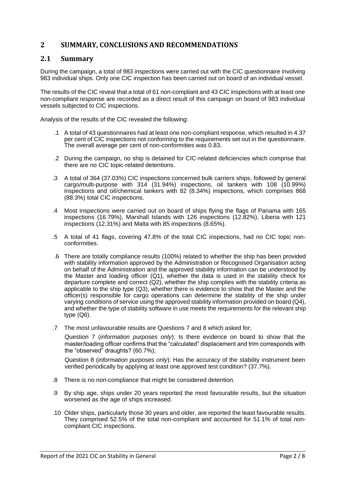# <span id="page-4-0"></span>**2 SUMMARY, CONCLUSIONS AND RECOMMENDATIONS**

#### <span id="page-4-1"></span>**2.1 Summary**

During the campaign, a total of 983 inspections were carried out with the CIC questionnaire involving 983 individual ships. Only one CIC inspection has been carried out on board of an individual vessel.

The results of the CIC reveal that a total of 61 non-compliant and 43 CIC inspections with at least one non-compliant response are recorded as a direct result of this campaign on board of 983 individual vessels subjected to CIC inspections.

Analysis of the results of the CIC revealed the following:

- .1 A total of 43 questionnaires had at least one non-compliant response, which resulted in 4.37 per cent of CIC inspections not conforming to the requirements set out in the questionnaire. The overall average per cent of non-conformities was 0.83.
- .2 During the campaign, no ship is detained for CIC-related deficiencies which comprise that there are no CIC topic-related detentions.
- .3 A total of 364 (37.03%) CIC inspections concerned bulk carriers ships, followed by general cargo/multi-purpose with 314 (31.94%) inspections, oil tankers with 108 (10.99%) inspections and oil/chemical tankers with 82 (8.34%) inspections, which comprises 868 (88.3%) total CIC inspections.
- .4 Most inspections were carried out on board of ships flying the flags of Panama with 165 inspections (16.79%), Marshall Islands with 126 inspections (12.82%), Liberia with 121 inspections (12.31%) and Malta with 85 inspections (8.65%).
- .5 A total of 41 flags, covering 47.8% of the total CIC inspections, had no CIC topic nonconformities.
- .6 There are totally compliance results (100%) related to whether the ship has been provided with stability information approved by the Administration or Recognised Organisation acting on behalf of the Administration and the approved stability information can be understood by the Master and loading officer (Q1), whether the data is used in the stability check for departure complete and correct (Q2), whether the ship complies with the stability criteria as applicable to the ship type (Q3), whether there is evidence to show that the Master and the officer(s) responsible for cargo operations can determine the stability of the ship under varying conditions of service using the approved stability information provided on board (Q4), and whether the type of stability software in use meets the requirements for the relevant ship type (Q6).
- .7 The most unfavourable results are Questions 7 and 8 which asked for;

Question 7 (*information purposes only*): Is there evidence on board to show that the master/loading officer confirms that the "calculated" displacement and trim corresponds with the "observed" draughts? (60.7%);

Question 8 (*information purposes only*): Has the accuracy of the stability instrument been verified periodically by applying at least one approved test condition? (37.7%).

- .8 There is no non-compliance that might be considered detention.
- .9 By ship age, ships under 20 years reported the most favourable results, but the situation worsened as the age of ships increased.
- .10 Older ships, particularly those 30 years and older, are reported the least favourable results. They comprised 52.5% of the total non-compliant and accounted for 51.1% of total noncompliant CIC inspections.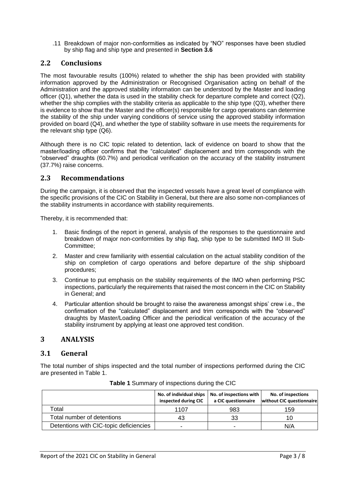.11 Breakdown of major non-conformities as indicated by "NO" responses have been studied by ship flag and ship type and presented in **Section 3.6**

### <span id="page-5-0"></span>**2.2 Conclusions**

The most favourable results (100%) related to whether the ship has been provided with stability information approved by the Administration or Recognised Organisation acting on behalf of the Administration and the approved stability information can be understood by the Master and loading officer (Q1), whether the data is used in the stability check for departure complete and correct (Q2), whether the ship complies with the stability criteria as applicable to the ship type (Q3), whether there is evidence to show that the Master and the officer(s) responsible for cargo operations can determine the stability of the ship under varying conditions of service using the approved stability information provided on board (Q4), and whether the type of stability software in use meets the requirements for the relevant ship type (Q6).

Although there is no CIC topic related to detention, lack of evidence on board to show that the master/loading officer confirms that the "calculated" displacement and trim corresponds with the "observed" draughts (60.7%) and periodical verification on the accuracy of the stability instrument (37.7%) raise concerns.

#### <span id="page-5-1"></span>**2.3 Recommendations**

During the campaign, it is observed that the inspected vessels have a great level of compliance with the specific provisions of the CIC on Stability in General, but there are also some non-compliances of the stability instruments in accordance with stability requirements.

Thereby, it is recommended that:

- 1. Basic findings of the report in general, analysis of the responses to the questionnaire and breakdown of major non-conformities by ship flag, ship type to be submitted IMO III Sub-Committee;
- 2. Master and crew familiarity with essential calculation on the actual stability condition of the ship on completion of cargo operations and before departure of the ship shipboard procedures;
- 3. Continue to put emphasis on the stability requirements of the IMO when performing PSC inspections, particularly the requirements that raised the most concern in the CIC on Stability in General; and
- 4. Particular attention should be brought to raise the awareness amongst ships' crew i.e., the confirmation of the "calculated" displacement and trim corresponds with the "observed" draughts by Master/Loading Officer and the periodical verification of the accuracy of the stability instrument by applying at least one approved test condition.

#### <span id="page-5-2"></span>**3 ANALYSIS**

#### <span id="page-5-3"></span>**3.1 General**

The total number of ships inspected and the total number of inspections performed during the CIC are presented in Table 1.

<span id="page-5-4"></span>

|                                        | inspected during CIC | No. of individual ships   No. of inspections with<br>a CIC questionnaire | No. of inspections<br>without CIC questionnaire |
|----------------------------------------|----------------------|--------------------------------------------------------------------------|-------------------------------------------------|
| Гоtal                                  | 1107                 | 983                                                                      | 159                                             |
| Total number of detentions             | 43                   | 33                                                                       | 10                                              |
| Detentions with CIC-topic deficiencies |                      | -                                                                        | N/A                                             |

|  |  |  | Table 1 Summary of inspections during the CIC |
|--|--|--|-----------------------------------------------|
|--|--|--|-----------------------------------------------|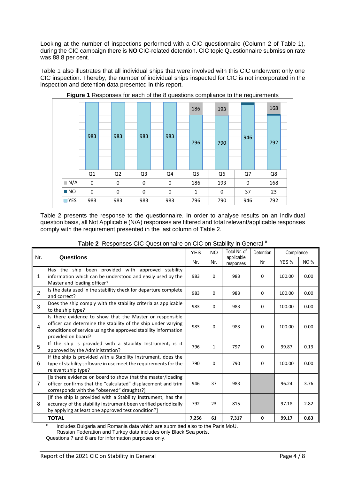Looking at the number of inspections performed with a CIC questionnaire (Column 2 of Table 1), during the CIC campaign there is **NO** CIC-related detention. CIC topic Questionnaire submission rate was 88.8 per cent.

Table 1 also illustrates that all individual ships that were involved with this CIC underwent only one CIC inspection. Thereby, the number of individual ships inspected for CIC is not incorporated in the inspection and detention data presented in this report.

<span id="page-6-1"></span>

**Figure 1** Responses for each of the 8 questions compliance to the requirements

Table 2 presents the response to the questionnaire. In order to analyse results on an individual question basis, all Not Applicable (N/A) responses are filtered and total relevant/applicable responses comply with the requirement presented in the last column of Table 2.

|  | Table 2 Responses CIC Questionnaire on CIC on Stability in General * |  |  |  |
|--|----------------------------------------------------------------------|--|--|--|

<span id="page-6-0"></span>

|     |                                                                                                                                                                                                                   | <b>YES</b> | <b>NO</b> | Total Nr. of            | Detention | Compliance |            |
|-----|-------------------------------------------------------------------------------------------------------------------------------------------------------------------------------------------------------------------|------------|-----------|-------------------------|-----------|------------|------------|
| Nr. | Questions                                                                                                                                                                                                         | Nr.        | Nr.       | applicable<br>responses | Nr        | YES %      | <b>NO%</b> |
| 1   | Has the ship been provided with approved stability<br>information which can be understood and easily used by the<br>Master and loading officer?                                                                   | 983        | 0         | 983                     | 0         | 100.00     | 0.00       |
| 2   | Is the data used in the stability check for departure complete<br>and correct?                                                                                                                                    | 983        | 0         | 983                     | 0         | 100.00     | 0.00       |
| 3   | Does the ship comply with the stability criteria as applicable<br>to the ship type?                                                                                                                               | 983        | 0         | 983                     | 0         | 100.00     | 0.00       |
| 4   | Is there evidence to show that the Master or responsible<br>officer can determine the stability of the ship under varying<br>conditions of service using the approved stability information<br>provided on board? | 983        | 0         | 983                     | 0         | 100.00     | 0.00       |
| 5   | If the ship is provided with a Stability Instrument, is it<br>approved by the Administration?                                                                                                                     | 796        | 1         | 797                     | 0         | 99.87      | 0.13       |
| 6   | If the ship is provided with a Stability Instrument, does the<br>type of stability software in use meet the requirements for the<br>relevant ship type?                                                           | 790        | 0         | 790                     | 0         | 100.00     | 0.00       |
| 7   | [Is there evidence on board to show that the master/loading<br>officer confirms that the "calculated" displacement and trim<br>corresponds with the "observed" draughts?]                                         | 946        | 37        | 983                     |           | 96.24      | 3.76       |
| 8   | [If the ship is provided with a Stability Instrument, has the<br>accuracy of the stability instrument been verified periodically<br>by applying at least one approved test condition?]                            | 792        | 23        | 815                     |           | 97.18      | 2.82       |
|     | <b>TOTAL</b>                                                                                                                                                                                                      | 7,256      | 61        | 7,317                   | 0         | 99.17      | 0.83       |

Includes Bulgaria and Romania data which are submitted also to the Paris MoU.

Russian Federation and Turkey data includes only Black Sea ports.

Questions 7 and 8 are for information purposes only.

x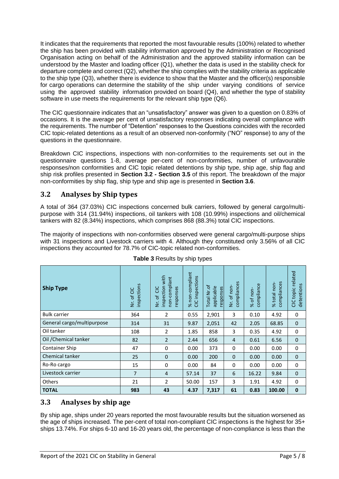It indicates that the requirements that reported the most favourable results (100%) related to whether the ship has been provided with stability information approved by the Administration or Recognised Organisation acting on behalf of the Administration and the approved stability information can be understood by the Master and loading officer (Q1), whether the data is used in the stability check for departure complete and correct (Q2), whether the ship complies with the stability criteria as applicable to the ship type (Q3), whether there is evidence to show that the Master and the officer(s) responsible for cargo operations can determine the stability of the ship under varying conditions of service using the approved stability information provided on board (Q4), and whether the type of stability software in use meets the requirements for the relevant ship type (Q6).

The CIC questionnaire indicates that an "unsatisfactory" answer was given to a question on 0.83% of occasions. It is the average per cent of unsatisfactory responses indicating overall compliance with the requirements. The number of "Detention" responses to the Questions coincides with the recorded CIC topic-related detentions as a result of an observed non-conformity ("NO" response) to any of the questions in the questionnaire.

Breakdown CIC inspections, inspections with non-conformities to the requirements set out in the questionnaire questions 1-8, average per-cent of non-conformities, number of unfavourable responses/non conformities and CIC topic related detentions by ship type, ship age, ship flag and ship risk profiles presented in **Section 3.2 - Section 3.5** of this report. The breakdown of the major non-conformities by ship flag, ship type and ship age is presented in **Section 3.6**.

# <span id="page-7-0"></span>**3.2 Analyses by Ship types**

A total of 364 (37.03%) CIC inspections concerned bulk carriers, followed by general cargo/multipurpose with 314 (31.94%) inspections, oil tankers with 108 (10.99%) inspections and oil/chemical tankers with 82 (8.34%) inspections, which comprises 868 (88.3%) total CIC inspections.

The majority of inspections with non-conformities observed were general cargo/multi-purpose ships with 31 inspections and Livestock carriers with 4. Although they constituted only 3.56% of all CIC inspections they accounted for 78.7% of CIC-topic related non-conformities.

<span id="page-7-2"></span>

| <b>Ship Type</b>           | inspections<br>Nr. of CIC | inspection with<br>non-compliant<br>responses<br><b>SC</b><br>Nr. of | % non-compliant<br>CIC inspections | Total Nr.of<br>applicable<br>responses | compliances<br>Nr. of non- | compliance<br>% of non- | compliances<br>% total non- | related<br>detentions<br>CIC topic |
|----------------------------|---------------------------|----------------------------------------------------------------------|------------------------------------|----------------------------------------|----------------------------|-------------------------|-----------------------------|------------------------------------|
| <b>Bulk carrier</b>        | 364                       | 2                                                                    | 0.55                               | 2,901                                  | 3                          | 0.10                    | 4.92                        | 0                                  |
| General cargo/multipurpose | 314                       | 31                                                                   | 9.87                               | 2,051                                  | 42                         | 2.05                    | 68.85                       | 0                                  |
| Oil tanker                 | 108                       | 2                                                                    | 1.85                               | 858                                    | 3                          | 0.35                    | 4.92                        | 0                                  |
| Oil / Chemical tanker      | 82                        | $\overline{2}$                                                       | 2.44                               | 656                                    | 4                          | 0.61                    | 6.56                        | 0                                  |
| Container Ship             | 47                        | 0                                                                    | 0.00                               | 373                                    | 0                          | 0.00                    | 0.00                        | 0                                  |
| Chemical tanker            | 25                        | $\mathbf 0$                                                          | 0.00                               | 200                                    | $\mathbf{0}$               | 0.00                    | 0.00                        | 0                                  |
| Ro-Ro cargo                | 15                        | 0                                                                    | 0.00                               | 84                                     | 0                          | 0.00                    | 0.00                        | 0                                  |
| Livestock carrier          | $\overline{7}$            | $\overline{4}$                                                       | 57.14                              | 37                                     | 6                          | 16.22                   | 9.84                        | $\mathbf{0}$                       |
| Others                     | 21                        | $\overline{2}$                                                       | 50.00                              | 157                                    | 3                          | 1.91                    | 4.92                        | 0                                  |
| <b>TOTAL</b>               | 983                       | 43                                                                   | 4.37                               | 7,317                                  | 61                         | 0.83                    | 100.00                      | $\mathbf 0$                        |

| Table 3 Results by ship types |  |  |  |
|-------------------------------|--|--|--|
|-------------------------------|--|--|--|

#### <span id="page-7-1"></span>**3.3 Analyses by ship age**

By ship age, ships under 20 years reported the most favourable results but the situation worsened as the age of ships increased. The per-cent of total non-compliant CIC inspections is the highest for 35+ ships 13.74%. For ships 6-10 and 16-20 years old, the percentage of non-compliance is less than the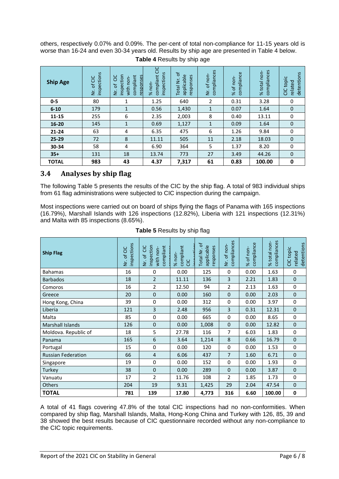others, respectively 0.07% and 0.09%. The per-cent of total non-compliance for 11-15 years old is worse than 16-24 and even 30-34 years old. Results by ship age are presented in Table 4 below.

<span id="page-8-1"></span>

| <b>Ship Age</b> | inspections<br>of CIC<br>ż | inspection<br>3C<br>compliant<br>responses<br>with non-<br>$\mathsf{b}$<br>ż | <b>SC</b><br>inspections<br>compliant<br>% non- | $\sigma$<br>applicable<br>responses<br><b>Total Nr</b> | compliances<br>Nr. of non- | compliance<br>% of non | compliances<br>%total non- | detentions<br>topic<br>related<br>GC |
|-----------------|----------------------------|------------------------------------------------------------------------------|-------------------------------------------------|--------------------------------------------------------|----------------------------|------------------------|----------------------------|--------------------------------------|
| $0 - 5$         | 80                         | 1                                                                            | 1.25                                            | 640                                                    | $\overline{2}$             | 0.31                   | 3.28                       | 0                                    |
| $6 - 10$        | 179                        | 1                                                                            | 0.56                                            | 1,430                                                  | $\mathbf{1}$               | 0.07                   | 1.64                       | $\mathbf{0}$                         |
| 11-15           | 255                        | 6                                                                            | 2.35                                            | 2,003                                                  | 8                          | 0.40                   | 13.11                      | 0                                    |
| 16-20           | 145                        | 1                                                                            | 0.69                                            | 1,127                                                  | 1                          | 0.09                   | 1.64                       | $\mathbf 0$                          |
| $21 - 24$       | 63                         | 4                                                                            | 6.35                                            | 475                                                    | 6                          | 1.26                   | 9.84                       | 0                                    |
| 25-29           | 72                         | 8                                                                            | 11.11                                           | 505                                                    | 11                         | 2.18                   | 18.03                      | $\mathbf 0$                          |
| 30-34           | 58                         | 4                                                                            | 6.90                                            | 364                                                    | 5                          | 1.37                   | 8.20                       | 0                                    |
| $35+$           | 131                        | 18                                                                           | 13.74                                           | 773                                                    | 27                         | 3.49                   | 44.26                      | $\Omega$                             |
| <b>TOTAL</b>    | 983                        | 43                                                                           | 4.37                                            | 7,317                                                  | 61                         | 0.83                   | 100.00                     | 0                                    |

**Table 4** Results by ship age

# <span id="page-8-0"></span>**3.4 Analyses by ship flag**

The following Table 5 presents the results of the CIC by the ship flag. A total of 983 individual ships from 61 flag administrations were subjected to CIC inspection during the campaign.

Most inspections were carried out on board of ships flying the flags of Panama with 165 inspections (16.79%), Marshall Islands with 126 inspections (12.82%), Liberia with 121 inspections (12.31%) and Malta with 85 inspections (8.65%).

<span id="page-8-2"></span>

| <b>Ship Flag</b>          | inspections<br>Nr. of CIC | inspection<br><b>CIC</b><br>compliant<br>with non-<br>Nr. of v | compliant<br>$%$ non-<br><b>CIC</b> | đ<br>applicable<br>responses<br>Total Nr. | compliances<br>Nr. of non- | compliance<br>% of non- | compliances<br>% total non- | detentions<br>CIC topic<br>related |
|---------------------------|---------------------------|----------------------------------------------------------------|-------------------------------------|-------------------------------------------|----------------------------|-------------------------|-----------------------------|------------------------------------|
| <b>Bahamas</b>            | 16                        | 0                                                              | 0.00                                | 125                                       | 0                          | 0.00                    | 1.63                        | $\mathbf 0$                        |
| <b>Barbados</b>           | 18                        | $\overline{2}$                                                 | 11.11                               | 136                                       | 3                          | 2.21                    | 1.83                        | $\mathbf 0$                        |
| Comoros                   | 16                        | $\overline{2}$                                                 | 12.50                               | 94                                        | $\overline{2}$             | 2.13                    | 1.63                        | $\mathbf 0$                        |
| Greece                    | 20                        | 0                                                              | 0.00                                | 160                                       | $\mathbf 0$                | 0.00                    | 2.03                        | $\mathbf 0$                        |
| Hong Kong, China          | 39                        | 0                                                              | 0.00                                | 312                                       | 0                          | 0.00                    | 3.97                        | 0                                  |
| Liberia                   | 121                       | 3                                                              | 2.48                                | 956                                       | 3                          | 0.31                    | 12.31                       | $\mathbf 0$                        |
| Malta                     | 85                        | 0                                                              | 0.00                                | 665                                       | 0                          | 0.00                    | 8.65                        | $\mathbf 0$                        |
| Marshall Islands          | 126                       | 0                                                              | 0.00                                | 1,008                                     | $\mathbf{0}$               | 0.00                    | 12.82                       | $\mathbf 0$                        |
| Moldova. Republic of      | 18                        | 5                                                              | 27.78                               | 116                                       | 7                          | 6.03                    | 1.83                        | 0                                  |
| Panama                    | 165                       | 6                                                              | 3.64                                | 1,214                                     | 8                          | 0.66                    | 16.79                       | $\mathbf 0$                        |
| Portugal                  | 15                        | 0                                                              | 0.00                                | 120                                       | 0                          | 0.00                    | 1.53                        | 0                                  |
| <b>Russian Federation</b> | 66                        | $\overline{4}$                                                 | 6.06                                | 437                                       | $\overline{7}$             | 1.60                    | 6.71                        | $\mathbf 0$                        |
| Singapore                 | 19                        | 0                                                              | 0.00                                | 152                                       | $\Omega$                   | 0.00                    | 1.93                        | 0                                  |
| Turkey                    | 38                        | 0                                                              | 0.00                                | 289                                       | $\mathbf{0}$               | 0.00                    | 3.87                        | $\mathbf 0$                        |
| Vanuatu                   | 17                        | $\overline{2}$                                                 | 11.76                               | 108                                       | $\overline{2}$             | 1.85                    | 1.73                        | 0                                  |
| Others                    | 204                       | 19                                                             | 9.31                                | 1,425                                     | 29                         | 2.04                    | 47.54                       | $\mathbf 0$                        |
| <b>TOTAL</b>              | 781                       | 139                                                            | 17.80                               | 4,773                                     | 316                        | 6.60                    | 100.00                      | $\bf{0}$                           |

**Table 5** Results by ship flag

A total of 41 flags covering 47.8% of the total CIC inspections had no non-conformities. When compared by ship flag, Marshall Islands, Malta, Hong-Kong China and Turkey with 126, 85, 39 and 38 showed the best results because of CIC questionnaire recorded without any non-compliance to the CIC topic requirements.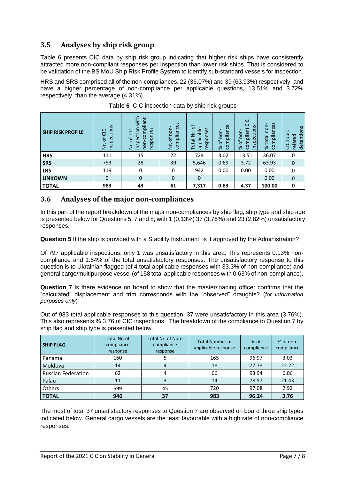# <span id="page-9-0"></span>**3.5 Analyses by ship risk group**

Table 6 presents CIC data by ship risk group indicating that higher risk ships have consistently attracted more non-compliant responses per inspection than lower risk ships. That is considered to be validation of the BS MoU Ship Risk Profile System to identify sub-standard vessels for inspection.

HRS and SRS comprised all of the non-compliances, 22 (36.07%) and 39 (63.93%) respectively, and have a higher percentage of non-compliance per applicable questions, 13.51% and 3.72% respectively, than the average (4.31%).

<span id="page-9-2"></span>

| <b>SHIP RISK PROFILE</b> | inspections<br>ŏ<br>$\mathcal{P}$<br>$\geq$ | with<br>compliant<br>inspection<br>responses<br>Ξ<br>$\sigma$<br>non-<br>ž | compliances<br>of non-<br>ż | ৳<br>Φ<br>nses<br>applicabl<br>z<br>respo<br>Tota | mpliance<br>non<br>$\mathcal{L}$<br>8<br>$\aleph$ | <b>SC</b><br>inspections<br>compliant<br>of non<br>৯ৎ | compliances<br>non-<br>total<br>$\aleph$ | detentions<br>ِي<br>top<br>ᅙ<br>relate<br>Ξ |
|--------------------------|---------------------------------------------|----------------------------------------------------------------------------|-----------------------------|---------------------------------------------------|---------------------------------------------------|-------------------------------------------------------|------------------------------------------|---------------------------------------------|
| <b>HRS</b>               | 111                                         | 15                                                                         | 22                          | 729                                               | 3.02                                              | 13.51                                                 | 36.07                                    | 0                                           |
| <b>SRS</b>               | 753                                         | 28                                                                         | 39                          | 5,646                                             | 0.69                                              | 3.72                                                  | 63.93                                    | $\mathbf 0$                                 |
| <b>LRS</b>               | 119                                         | 0                                                                          | 0                           | 942                                               | 0.00                                              | 0.00                                                  | 0.00                                     | 0                                           |
| <b>UNKOWN</b>            | $\Omega$                                    | $\mathbf 0$                                                                | 0                           | $\Omega$                                          |                                                   |                                                       | 0.00                                     | $\mathbf 0$                                 |
| <b>TOTAL</b>             | 983                                         | 43                                                                         | 61                          | 7,317                                             | 0.83                                              | 4.37                                                  | 100.00                                   | 0                                           |

**Table 6** CIC inspection data by ship risk groups

#### <span id="page-9-1"></span>**3.6 Analyses of the major non-compliances**

In this part of the report breakdown of the major non-compliances by ship flag, ship type and ship age is presented below for Questions 5, 7 and 8; with 1 (0.13%) 37 (3.76%) and 23 (2.82%) unsatisfactory responses.

**Question 5** If the ship is provided with a Stability Instrument, is it approved by the Administration?

Of 797 applicable inspections, only 1 was unsatisfactory in this area. This represents 0.13% noncompliance and 1.64% of the total unsatisfactory responses. The unsatisfactory response to this question is to Ukrainian flagged (of 4 total applicable responses with 33.3% of non-compliance) and general cargo/multipurpose vessel (of 158 total applicable responses with 0.63% of non-compliance).

**Question 7** Is there evidence on board to show that the master/loading officer confirms that the "calculated" displacement and trim corresponds with the "observed" draughts? (*for information purposes only*)

Out of 983 total applicable responses to this question, 37 were unsatisfactory in this area (3.76%). This also represents % 3.76 of CIC inspections. The breakdown of the compliance to Question 7 by ship flag and ship type is presented below.

| <b>SHIP FLAG</b>          | Total Nr. of<br>compliance<br>response | Total Nr. of Non-<br>compliance<br>response | <b>Total Number of</b><br>applicable response | $%$ of<br>compliance | % of non-<br>compliance |
|---------------------------|----------------------------------------|---------------------------------------------|-----------------------------------------------|----------------------|-------------------------|
| Panama                    | 160                                    |                                             | 165                                           | 96.97                | 3.03                    |
| Moldova                   | 14                                     |                                             | 18                                            | 77.78                | 22.22                   |
| <b>Russian Federation</b> | 62                                     |                                             | 66                                            | 93.94                | 6.06                    |
| Palau                     | 11                                     |                                             | 14                                            | 78.57                | 21.43                   |
| Others                    | 699                                    | 45                                          | 720                                           | 97.08                | 2.92                    |
| <b>TOTAL</b>              | 946                                    | 37                                          | 983                                           | 96.24                | 3.76                    |

The most of total 37 unsatisfactory responses to Question 7 are observed on board three ship types indicated below. General cargo vessels are the least favourable with a high rate of non-compliance responses.